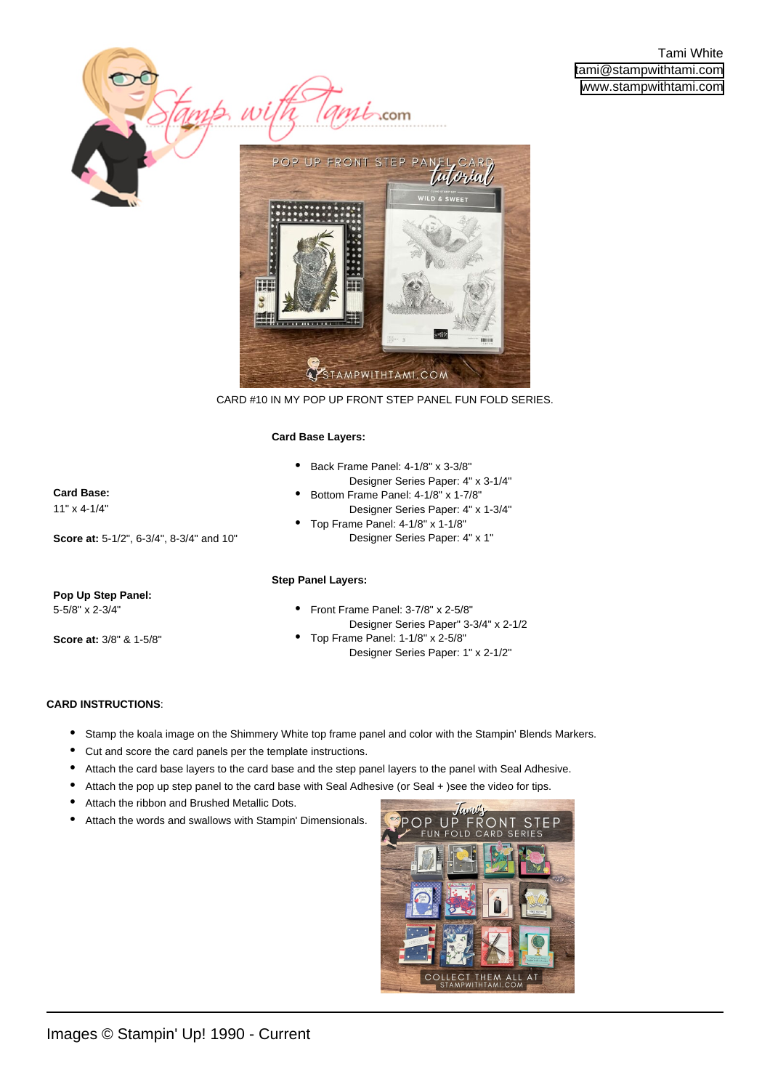

CARD #10 IN MY POP UP FRONT STEP PANEL FUN FOLD SERIES.

#### **Card Base Layers:**

•

- Back Frame Panel: 4-1/8" x 3-3/8" •
	- Designer Series Paper: 4" x 3-1/4"
	- Bottom Frame Panel: 4-1/8" x 1-7/8" Designer Series Paper: 4" x 1-3/4" Top Frame Panel: 4-1/8" x 1-1/8"
- Designer Series Paper: 4" x 1" •

## **Step Panel Layers:**

### **Pop Up Step Panel:**  5-5/8" x 2-3/4"

**Score at:** 5-1/2", 6-3/4", 8-3/4" and 10"

**Card Base:**  11" x 4-1/4"

**Score at:** 3/8" & 1-5/8"

- Front Frame Panel: 3-7/8" x 2-5/8" Designer Series Paper" 3-3/4" x 2-1/2
- Top Frame Panel: 1-1/8" x 2-5/8" Designer Series Paper: 1" x 2-1/2" •

## **CARD INSTRUCTIONS**:

- [Stamp the koala image on the Shimmery White top frame panel and color with the Stampin' Blends Markers.](https://stampwithtami.com/?p=63650)
- Cut and score the card panels per the template instructions.
- Attach the card base layers to the card base and the step panel layers to the panel with Seal Adhesive.
- Attach the pop up step panel to the card base with Seal Adhesive (or Seal + )see the video for tips.
- Attach the ribbon and Brushed Metallic Dots.
- Attach the words and swallows with Stampin' Dimensionals.